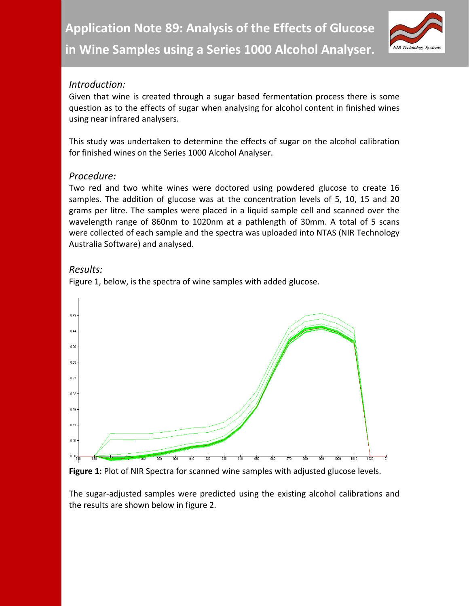

# *Introduction:*

Given that wine is created through a sugar based fermentation process there is some question as to the effects of sugar when analysing for alcohol content in finished wines using near infrared analysers.

This study was undertaken to determine the effects of sugar on the alcohol calibration for finished wines on the Series 1000 Alcohol Analyser.

## *Procedure:*

Two red and two white wines were doctored using powdered glucose to create 16 samples. The addition of glucose was at the concentration levels of 5, 10, 15 and 20 grams per litre. The samples were placed in a liquid sample cell and scanned over the wavelength range of 860nm to 1020nm at a pathlength of 30mm. A total of 5 scans were collected of each sample and the spectra was uploaded into NTAS (NIR Technology Australia Software) and analysed.

## *Results:*



Figure 1, below, is the spectra of wine samples with added glucose.

### Figure 1: Plot of NIR Spectra for scanned wine samples with adjusted glucose levels.

The sugar-adjusted samples were predicted using the existing alcohol calibrations and the results are shown below in figure 2.